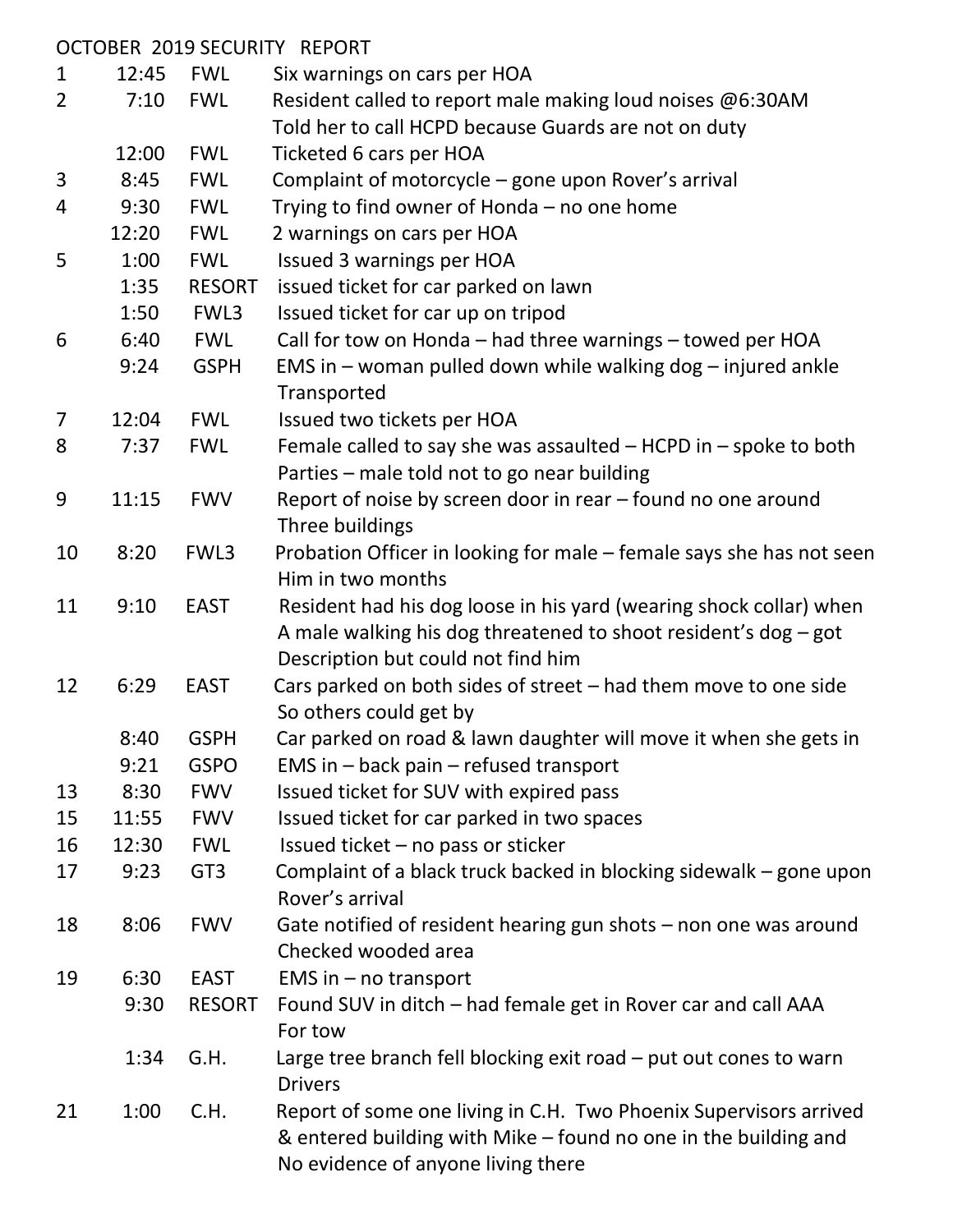|                |       |                 | OCTOBER 2019 SECURITY REPORT                                         |
|----------------|-------|-----------------|----------------------------------------------------------------------|
| 1              | 12:45 | <b>FWL</b>      | Six warnings on cars per HOA                                         |
| $\overline{2}$ | 7:10  | <b>FWL</b>      | Resident called to report male making loud noises @6:30AM            |
|                |       |                 | Told her to call HCPD because Guards are not on duty                 |
|                | 12:00 | <b>FWL</b>      | Ticketed 6 cars per HOA                                              |
| 3              | 8:45  | <b>FWL</b>      | Complaint of motorcycle - gone upon Rover's arrival                  |
| 4              | 9:30  | <b>FWL</b>      | Trying to find owner of Honda – no one home                          |
|                | 12:20 | <b>FWL</b>      | 2 warnings on cars per HOA                                           |
| 5              | 1:00  | <b>FWL</b>      | Issued 3 warnings per HOA                                            |
|                | 1:35  | <b>RESORT</b>   | issued ticket for car parked on lawn                                 |
|                | 1:50  | FWL3            | Issued ticket for car up on tripod                                   |
| 6              | 6:40  | <b>FWL</b>      | Call for tow on Honda - had three warnings - towed per HOA           |
|                | 9:24  | <b>GSPH</b>     | EMS in - woman pulled down while walking dog - injured ankle         |
|                |       |                 | Transported                                                          |
| 7              | 12:04 | <b>FWL</b>      | Issued two tickets per HOA                                           |
| 8              | 7:37  | <b>FWL</b>      | Female called to say she was assaulted $-$ HCPD in $-$ spoke to both |
|                |       |                 | Parties - male told not to go near building                          |
| 9              | 11:15 | <b>FWV</b>      | Report of noise by screen door in rear - found no one around         |
|                |       |                 | Three buildings                                                      |
| 10             | 8:20  | FWL3            | Probation Officer in looking for male – female says she has not seen |
|                |       |                 | Him in two months                                                    |
| 11             | 9:10  | <b>EAST</b>     | Resident had his dog loose in his yard (wearing shock collar) when   |
|                |       |                 | A male walking his dog threatened to shoot resident's dog - got      |
|                |       |                 | Description but could not find him                                   |
| 12             | 6:29  | <b>EAST</b>     | Cars parked on both sides of street - had them move to one side      |
|                |       |                 | So others could get by                                               |
|                | 8:40  | <b>GSPH</b>     | Car parked on road & lawn daughter will move it when she gets in     |
|                | 9:21  | <b>GSPO</b>     | EMS in $-$ back pain $-$ refused transport                           |
| 13             | 8:30  | <b>FWV</b>      | Issued ticket for SUV with expired pass                              |
| 15             | 11:55 | <b>FWV</b>      | Issued ticket for car parked in two spaces                           |
| 16             | 12:30 | <b>FWL</b>      | Issued ticket $-$ no pass or sticker                                 |
| 17             | 9:23  | GT <sub>3</sub> | Complaint of a black truck backed in blocking sidewalk – gone upon   |
|                |       |                 | Rover's arrival                                                      |
| 18             | 8:06  | <b>FWV</b>      | Gate notified of resident hearing gun shots - non one was around     |
|                |       |                 | Checked wooded area                                                  |
| 19             | 6:30  | <b>EAST</b>     | EMS in $-$ no transport                                              |
|                | 9:30  | <b>RESORT</b>   | Found SUV in ditch – had female get in Rover car and call AAA        |
|                |       |                 | For tow                                                              |
|                | 1:34  | G.H.            | Large tree branch fell blocking exit road $-$ put out cones to warn  |
|                |       |                 | <b>Drivers</b>                                                       |
| 21             | 1:00  | C.H.            | Report of some one living in C.H. Two Phoenix Supervisors arrived    |
|                |       |                 | & entered building with Mike – found no one in the building and      |
|                |       |                 | No evidence of anyone living there                                   |